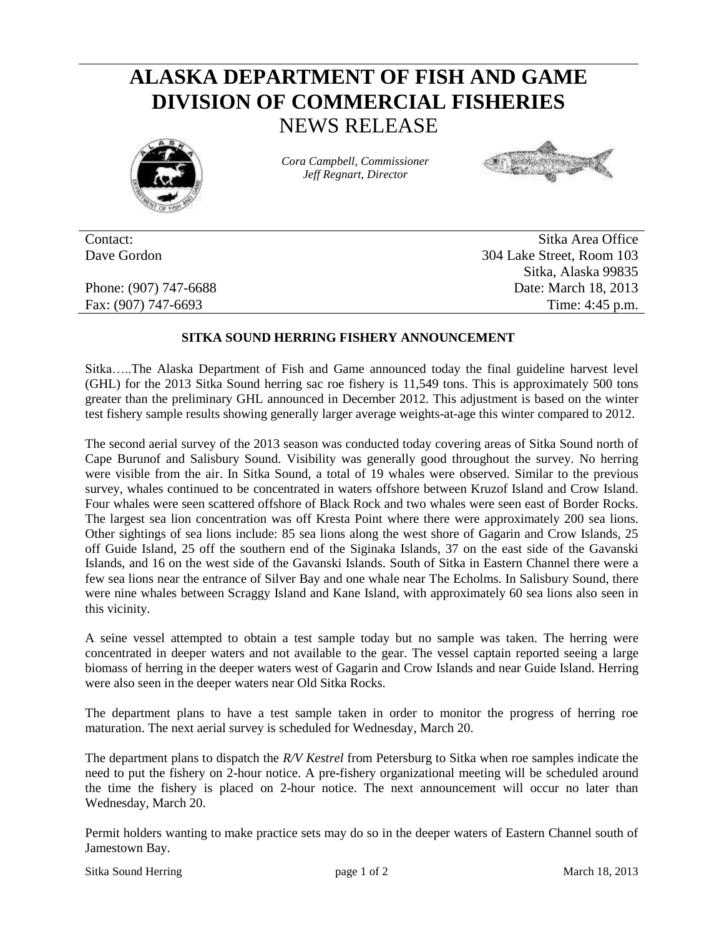## **ALASKA DEPARTMENT OF FISH AND GAME DIVISION OF COMMERCIAL FISHERIES** NEWS RELEASE



*Cora Campbell, Commissioner Jeff Regnart, Director*



Contact: Sitka Area Office Dave Gordon 304 Lake Street, Room 103 Sitka, Alaska 99835 Phone: (907) 747-6688 Date: March 18, 2013 Fax: (907) 747-6693 Time: 4:45 p.m.

## **SITKA SOUND HERRING FISHERY ANNOUNCEMENT**

Sitka…..The Alaska Department of Fish and Game announced today the final guideline harvest level (GHL) for the 2013 Sitka Sound herring sac roe fishery is 11,549 tons. This is approximately 500 tons greater than the preliminary GHL announced in December 2012. This adjustment is based on the winter test fishery sample results showing generally larger average weights-at-age this winter compared to 2012.

The second aerial survey of the 2013 season was conducted today covering areas of Sitka Sound north of Cape Burunof and Salisbury Sound. Visibility was generally good throughout the survey. No herring were visible from the air. In Sitka Sound, a total of 19 whales were observed. Similar to the previous survey, whales continued to be concentrated in waters offshore between Kruzof Island and Crow Island. Four whales were seen scattered offshore of Black Rock and two whales were seen east of Border Rocks. The largest sea lion concentration was off Kresta Point where there were approximately 200 sea lions. Other sightings of sea lions include: 85 sea lions along the west shore of Gagarin and Crow Islands, 25 off Guide Island, 25 off the southern end of the Siginaka Islands, 37 on the east side of the Gavanski Islands, and 16 on the west side of the Gavanski Islands. South of Sitka in Eastern Channel there were a few sea lions near the entrance of Silver Bay and one whale near The Echolms. In Salisbury Sound, there were nine whales between Scraggy Island and Kane Island, with approximately 60 sea lions also seen in this vicinity.

A seine vessel attempted to obtain a test sample today but no sample was taken. The herring were concentrated in deeper waters and not available to the gear. The vessel captain reported seeing a large biomass of herring in the deeper waters west of Gagarin and Crow Islands and near Guide Island. Herring were also seen in the deeper waters near Old Sitka Rocks.

The department plans to have a test sample taken in order to monitor the progress of herring roe maturation. The next aerial survey is scheduled for Wednesday, March 20.

The department plans to dispatch the *R/V Kestrel* from Petersburg to Sitka when roe samples indicate the need to put the fishery on 2-hour notice. A pre-fishery organizational meeting will be scheduled around the time the fishery is placed on 2-hour notice. The next announcement will occur no later than Wednesday, March 20.

Permit holders wanting to make practice sets may do so in the deeper waters of Eastern Channel south of Jamestown Bay.

Sitka Sound Herring **page 1 of 2** March 18, 2013